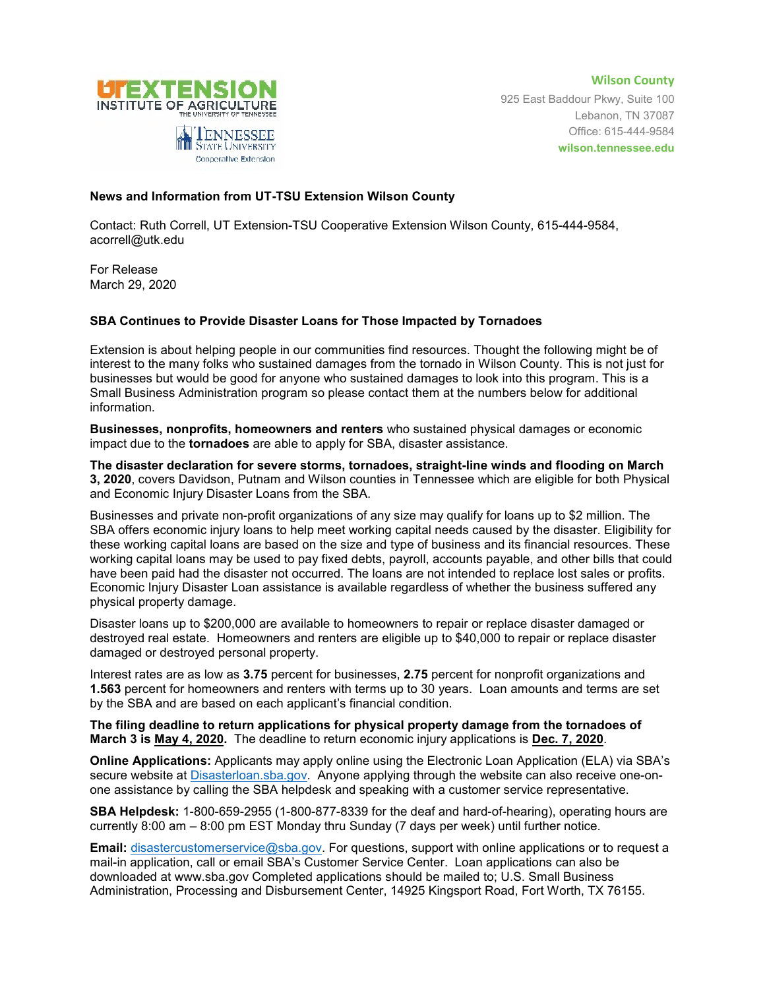

**Wilson County** 925 East Baddour Pkwy, Suite 100 Lebanon, TN 37087 Office: 615-444-9584 **wilson.tennessee.edu**

## **News and Information from UT-TSU Extension Wilson County**

Cooperative Extension

Contact: Ruth Correll, UT Extension-TSU Cooperative Extension Wilson County, 615-444-9584, acorrell@utk.edu

For Release March 29, 2020

## **SBA Continues to Provide Disaster Loans for Those Impacted by Tornadoes**

Extension is about helping people in our communities find resources. Thought the following might be of interest to the many folks who sustained damages from the tornado in Wilson County. This is not just for businesses but would be good for anyone who sustained damages to look into this program. This is a Small Business Administration program so please contact them at the numbers below for additional information.

**Businesses, nonprofits, homeowners and renters** who sustained physical damages or economic impact due to the **tornadoes** are able to apply for SBA, disaster assistance.

**The disaster declaration for severe storms, tornadoes, straight-line winds and flooding on March 3, 2020**, covers Davidson, Putnam and Wilson counties in Tennessee which are eligible for both Physical and Economic Injury Disaster Loans from the SBA.

Businesses and private non-profit organizations of any size may qualify for loans up to \$2 million. The SBA offers economic injury loans to help meet working capital needs caused by the disaster. Eligibility for these working capital loans are based on the size and type of business and its financial resources. These working capital loans may be used to pay fixed debts, payroll, accounts payable, and other bills that could have been paid had the disaster not occurred. The loans are not intended to replace lost sales or profits. Economic Injury Disaster Loan assistance is available regardless of whether the business suffered any physical property damage.

Disaster loans up to \$200,000 are available to homeowners to repair or replace disaster damaged or destroyed real estate. Homeowners and renters are eligible up to \$40,000 to repair or replace disaster damaged or destroyed personal property.

Interest rates are as low as **3.75** percent for businesses, **2.75** percent for nonprofit organizations and **1.563** percent for homeowners and renters with terms up to 30 years. Loan amounts and terms are set by the SBA and are based on each applicant's financial condition.

**The filing deadline to return applications for physical property damage from the tornadoes of March 3 is May 4, 2020.** The deadline to return economic injury applications is **Dec. 7, 2020**.

**Online Applications:** Applicants may apply online using the Electronic Loan Application (ELA) via SBA's secure website at [Disasterloan.sba.gov.](https://disasterloan.sba.gov/ela/) Anyone applying through the website can also receive one-onone assistance by calling the SBA helpdesk and speaking with a customer service representative.

**SBA Helpdesk:** 1-800-659-2955 (1-800-877-8339 for the deaf and hard-of-hearing), operating hours are currently 8:00 am – 8:00 pm EST Monday thru Sunday (7 days per week) until further notice.

**Email:** [disastercustomerservice@sba.gov.](mailto:disastercustomerservice@sba.gov) For questions, support with online applications or to request a mail-in application, call or email SBA's Customer Service Center. Loan applications can also be downloaded at www.sba.gov Completed applications should be mailed to; U.S. Small Business Administration, Processing and Disbursement Center, 14925 Kingsport Road, Fort Worth, TX 76155.